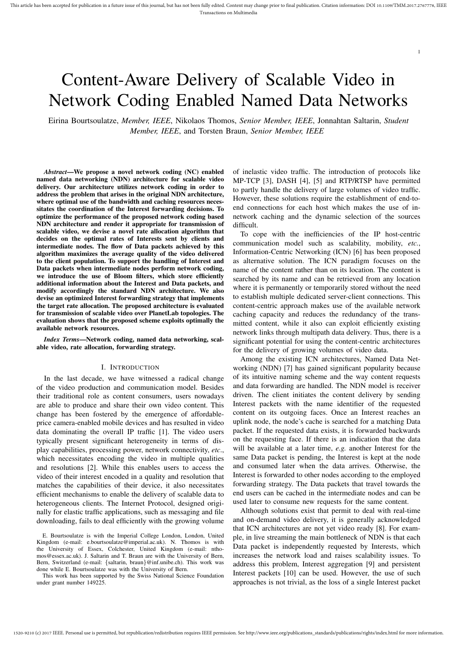# Content-Aware Delivery of Scalable Video in Network Coding Enabled Named Data Networks

Eirina Bourtsoulatze, *Member, IEEE*, Nikolaos Thomos, *Senior Member, IEEE*, Jonnahtan Saltarin, *Student Member, IEEE*, and Torsten Braun, *Senior Member, IEEE*

*Abstract*—We propose a novel network coding (NC) enabled named data networking (NDN) architecture for scalable video delivery. Our architecture utilizes network coding in order to address the problem that arises in the original NDN architecture, where optimal use of the bandwidth and caching resources necessitates the coordination of the Interest forwarding decisions. To optimize the performance of the proposed network coding based NDN architecture and render it appropriate for transmission of scalable video, we devise a novel rate allocation algorithm that decides on the optimal rates of Interests sent by clients and intermediate nodes. The flow of Data packets achieved by this algorithm maximizes the average quality of the video delivered to the client population. To support the handling of Interest and Data packets when intermediate nodes perform network coding, we introduce the use of Bloom filters, which store efficiently additional information about the Interest and Data packets, and modify accordingly the standard NDN architecture. We also devise an optimized Interest forwarding strategy that implements the target rate allocation. The proposed architecture is evaluated for transmission of scalable video over PlanetLab topologies. The evaluation shows that the proposed scheme exploits optimally the available network resources.

*Index Terms*—Network coding, named data networking, scalable video, rate allocation, forwarding strategy.

### I. INTRODUCTION

In the last decade, we have witnessed a radical change of the video production and communication model. Besides their traditional role as content consumers, users nowadays are able to produce and share their own video content. This change has been fostered by the emergence of affordableprice camera-enabled mobile devices and has resulted in video data dominating the overall IP traffic [1]. The video users typically present significant heterogeneity in terms of display capabilities, processing power, network connectivity, *etc*., which necessitates encoding the video in multiple qualities and resolutions [2]. While this enables users to access the video of their interest encoded in a quality and resolution that matches the capabilities of their device, it also necessitates efficient mechanisms to enable the delivery of scalable data to heterogeneous clients. The Internet Protocol, designed originally for elastic traffic applications, such as messaging and file downloading, fails to deal efficiently with the growing volume

E. Bourtsoulatze is with the Imperial College London, London, United Kingdom (e-mail: e.bourtsoulatze@imperial.ac.uk). N. Thomos is with the University of Essex, Colchester, United Kingdom (e-mail: nthomos@essex.ac.uk). J. Saltarin and T. Braun are with the University of Bern, Bern, Switzerland (e-mail: *{*saltarin, braun*}*@inf.unibe.ch). This work was done while E. Bourtsoulatze was with the University of Bern.

This work has been supported by the Swiss National Science Foundation under grant number 149225.

of inelastic video traffic. The introduction of protocols like MP-TCP [3], DASH [4], [5] and RTP/RTSP have permitted to partly handle the delivery of large volumes of video traffic. However, these solutions require the establishment of end-toend connections for each host which makes the use of innetwork caching and the dynamic selection of the sources difficult.

1

To cope with the inefficiencies of the IP host-centric communication model such as scalability, mobility, *etc.*, Information-Centric Networking (ICN) [6] has been proposed as alternative solution. The ICN paradigm focuses on the name of the content rather than on its location. The content is searched by its name and can be retrieved from any location where it is permanently or temporarily stored without the need to establish multiple dedicated server-client connections. This content-centric approach makes use of the available network caching capacity and reduces the redundancy of the transmitted content, while it also can exploit efficiently existing network links through multipath data delivery. Thus, there is a significant potential for using the content-centric architectures for the delivery of growing volumes of video data.

Among the existing ICN architectures, Named Data Networking (NDN) [7] has gained significant popularity because of its intuitive naming scheme and the way content requests and data forwarding are handled. The NDN model is receiver driven. The client initiates the content delivery by sending Interest packets with the name identifier of the requested content on its outgoing faces. Once an Interest reaches an uplink node, the node's cache is searched for a matching Data packet. If the requested data exists, it is forwarded backwards on the requesting face. If there is an indication that the data will be available at a later time, *e.g.* another Interest for the same Data packet is pending, the Interest is kept at the node and consumed later when the data arrives. Otherwise, the Interest is forwarded to other nodes according to the employed forwarding strategy. The Data packets that travel towards the end users can be cached in the intermediate nodes and can be used later to consume new requests for the same content.

Although solutions exist that permit to deal with real-time and on-demand video delivery, it is generally acknowledged that ICN architectures are not yet video ready [8]. For example, in live streaming the main bottleneck of NDN is that each Data packet is independently requested by Interests, which increases the network load and raises scalability issues. To address this problem, Interest aggregation [9] and persistent Interest packets [10] can be used. However, the use of such approaches is not trivial, as the loss of a single Interest packet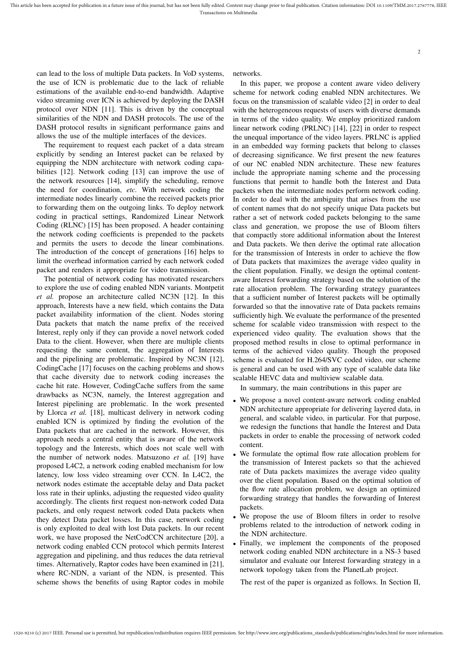can lead to the loss of multiple Data packets. In VoD systems, the use of ICN is problematic due to the lack of reliable estimations of the available end-to-end bandwidth. Adaptive video streaming over ICN is achieved by deploying the DASH protocol over NDN [11]. This is driven by the conceptual similarities of the NDN and DASH protocols. The use of the DASH protocol results in significant performance gains and allows the use of the multiple interfaces of the devices.

The requirement to request each packet of a data stream explicitly by sending an Interest packet can be relaxed by equipping the NDN architecture with network coding capabilities [12]. Network coding [13] can improve the use of the network resources [14], simplify the scheduling, remove the need for coordination, *etc.* With network coding the intermediate nodes linearly combine the received packets prior to forwarding them on the outgoing links. To deploy network coding in practical settings, Randomized Linear Network Coding (RLNC) [15] has been proposed. A header containing the network coding coefficients is prepended to the packets and permits the users to decode the linear combinations. The introduction of the concept of generations [16] helps to limit the overhead information carried by each network coded packet and renders it appropriate for video transmission.

The potential of network coding has motivated researchers to explore the use of coding enabled NDN variants. Montpetit *et al.* propose an architecture called NC3N [12]. In this approach, Interests have a new field, which contains the Data packet availability information of the client. Nodes storing Data packets that match the name prefix of the received Interest, reply only if they can provide a novel network coded Data to the client. However, when there are multiple clients requesting the same content, the aggregation of Interests and the pipelining are problematic. Inspired by NC3N [12], CodingCache [17] focuses on the caching problems and shows that cache diversity due to network coding increases the cache hit rate. However, CodingCache suffers from the same drawbacks as NC3N, namely, the Interest aggregation and Interest pipelining are problematic. In the work presented by Llorca *et al.* [18], multicast delivery in network coding enabled ICN is optimized by finding the evolution of the Data packets that are cached in the network. However, this approach needs a central entity that is aware of the network topology and the Interests, which does not scale well with the number of network nodes. Matsuzono *et al.* [19] have proposed L4C2, a network coding enabled mechanism for low latency, low loss video streaming over CCN. In L4C2, the network nodes estimate the acceptable delay and Data packet loss rate in their uplinks, adjusting the requested video quality accordingly. The clients first request non-network coded Data packets, and only request network coded Data packets when they detect Data packet losses. In this case, network coding is only exploited to deal with lost Data packets. In our recent work, we have proposed the NetCodCCN architecture [20], a network coding enabled CCN protocol which permits Interest aggregation and pipelining, and thus reduces the data retrieval times. Alternatively, Raptor codes have been examined in [21], where RC-NDN, a variant of the NDN, is presented. This scheme shows the benefits of using Raptor codes in mobile networks.

In this paper, we propose a content aware video delivery scheme for network coding enabled NDN architectures. We focus on the transmission of scalable video [2] in order to deal with the heterogeneous requests of users with diverse demands in terms of the video quality. We employ prioritized random linear network coding (PRLNC) [14], [22] in order to respect the unequal importance of the video layers. PRLNC is applied in an embedded way forming packets that belong to classes of decreasing significance. We first present the new features of our NC enabled NDN architecture. These new features include the appropriate naming scheme and the processing functions that permit to handle both the Interest and Data packets when the intermediate nodes perform network coding. In order to deal with the ambiguity that arises from the use of content names that do not specify unique Data packets but rather a set of network coded packets belonging to the same class and generation, we propose the use of Bloom filters that compactly store additional information about the Interest and Data packets. We then derive the optimal rate allocation for the transmission of Interests in order to achieve the flow of Data packets that maximizes the average video quality in the client population. Finally, we design the optimal contentaware Interest forwarding strategy based on the solution of the rate allocation problem. The forwarding strategy guarantees that a sufficient number of Interest packets will be optimally forwarded so that the innovative rate of Data packets remains sufficiently high. We evaluate the performance of the presented scheme for scalable video transmission with respect to the experienced video quality. The evaluation shows that the proposed method results in close to optimal performance in terms of the achieved video quality. Though the proposed scheme is evaluated for H.264/SVC coded video, our scheme is general and can be used with any type of scalable data like scalable HEVC data and multiview scalable data.

In summary, the main contributions in this paper are

- *•* We propose a novel content-aware network coding enabled NDN architecture appropriate for delivering layered data, in general, and scalable video, in particular. For that purpose, we redesign the functions that handle the Interest and Data packets in order to enable the processing of network coded content.
- We formulate the optimal flow rate allocation problem for the transmission of Interest packets so that the achieved rate of Data packets maximizes the average video quality over the client population. Based on the optimal solution of the flow rate allocation problem, we design an optimized forwarding strategy that handles the forwarding of Interest packets.
- *•* We propose the use of Bloom filters in order to resolve problems related to the introduction of network coding in the NDN architecture.
- *•* Finally, we implement the components of the proposed network coding enabled NDN architecture in a NS-3 based simulator and evaluate our Interest forwarding strategy in a network topology taken from the PlanetLab project.

The rest of the paper is organized as follows. In Section II,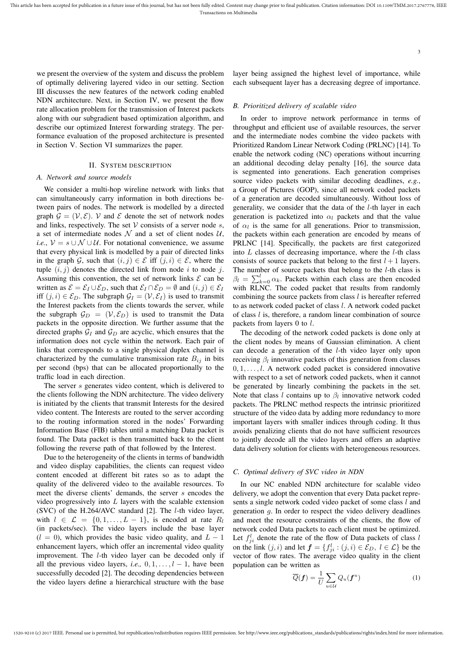we present the overview of the system and discuss the problem of optimally delivering layered video in our setting. Section III discusses the new features of the network coding enabled NDN architecture. Next, in Section IV, we present the flow rate allocation problem for the transmission of Interest packets along with our subgradient based optimization algorithm, and describe our optimized Interest forwarding strategy. The performance evaluation of the proposed architecture is presented in Section V. Section VI summarizes the paper.

# II. SYSTEM DESCRIPTION

### *A. Network and source models*

We consider a multi-hop wireline network with links that can simultaneously carry information in both directions between pairs of nodes. The network is modelled by a directed graph  $\mathcal{G} = (\mathcal{V}, \mathcal{E})$ .  $\mathcal{V}$  and  $\mathcal{E}$  denote the set of network nodes and links, respectively. The set *V* consists of a server node *s*, a set of intermediate nodes *N* and a set of client nodes *U*, *i.e.*,  $V = s \cup N \cup U$ . For notational convenience, we assume that every physical link is modelled by a pair of directed links in the graph *G*, such that  $(i, j) \in \mathcal{E}$  iff  $(j, i) \in \mathcal{E}$ , where the tuple  $(i, j)$  denotes the directed link from node *i* to node *j*. Assuming this convention, the set of network links  $\mathcal E$  can be written as  $\mathcal{E} = \mathcal{E}_I \cup \mathcal{E}_D$ , such that  $\mathcal{E}_I \cap \mathcal{E}_D = \emptyset$  and  $(i, j) \in \mathcal{E}_I$ iff  $(j, i) \in \mathcal{E}_D$ . The subgraph  $\mathcal{G}_I = (\mathcal{V}, \mathcal{E}_I)$  is used to transmit the Interest packets from the clients towards the server, while the subgraph  $\mathcal{G}_D = (\mathcal{V}, \mathcal{E}_D)$  is used to transmit the Data packets in the opposite direction. We further assume that the directed graphs  $G_I$  and  $G_D$  are acyclic, which ensures that the information does not cycle within the network. Each pair of links that corresponds to a single physical duplex channel is characterized by the cumulative transmission rate  $B_{ij}$  in bits per second (bps) that can be allocated proportionally to the traffic load in each direction.

The server *s* generates video content, which is delivered to the clients following the NDN architecture. The video delivery is initiated by the clients that transmit Interests for the desired video content. The Interests are routed to the server according to the routing information stored in the nodes' Forwarding Information Base (FIB) tables until a matching Data packet is found. The Data packet is then transmitted back to the client following the reverse path of that followed by the Interest.

Due to the heterogeneity of the clients in terms of bandwidth and video display capabilities, the clients can request video content encoded at different bit rates so as to adapt the quality of the delivered video to the available resources. To meet the diverse clients' demands, the server *s* encodes the video progressively into *L* layers with the scalable extension (SVC) of the H.264/AVC standard [2]. The *l*-th video layer, with  $l \in \mathcal{L} = \{0, 1, \ldots, L-1\}$ , is encoded at rate  $R_l$ (in packets/sec). The video layers include the base layer  $(l = 0)$ , which provides the basic video quality, and  $L - 1$ enhancement layers, which offer an incremental video quality improvement. The *l*-th video layer can be decoded only if all the previous video layers, *i.e.*,  $0, 1, \ldots, l - 1$ , have been successfully decoded [2]. The decoding dependencies between the video layers define a hierarchical structure with the base

layer being assigned the highest level of importance, while each subsequent layer has a decreasing degree of importance.

3

# *B. Prioritized delivery of scalable video*

In order to improve network performance in terms of throughput and efficient use of available resources, the server and the intermediate nodes combine the video packets with Prioritized Random Linear Network Coding (PRLNC) [14]. To enable the network coding (NC) operations without incurring an additional decoding delay penalty [16], the source data is segmented into generations. Each generation comprises source video packets with similar decoding deadlines, *e.g.*, a Group of Pictures (GOP), since all network coded packets of a generation are decoded simultaneously. Without loss of generality, we consider that the data of the *l*-th layer in each generation is packetized into  $\alpha_l$  packets and that the value of  $\alpha_l$  is the same for all generations. Prior to transmission, the packets within each generation are encoded by means of PRLNC [14]. Specifically, the packets are first categorized into *L* classes of decreasing importance, where the *l*-th class consists of source packets that belong to the first  $l + 1$  layers. The number of source packets that belong to the *l*-th class is  $\beta_l = \sum_{k=0}^{l} \alpha_k$ . Packets within each class are then encoded with RLNC. The coded packet that results from randomly combining the source packets from class *l* is hereafter referred to as network coded packet of class *l*. A network coded packet of class *l* is, therefore, a random linear combination of source packets from layers 0 to *l*.

The decoding of the network coded packets is done only at the client nodes by means of Gaussian elimination. A client can decode a generation of the *l*-th video layer only upon receiving  $\beta_l$  innovative packets of this generation from classes 0*,* 1*,...,l*. A network coded packet is considered innovative with respect to a set of network coded packets, when it cannot be generated by linearly combining the packets in the set. Note that class *l* contains up to  $\beta_l$  innovative network coded packets. The PRLNC method respects the intrinsic prioritized structure of the video data by adding more redundancy to more important layers with smaller indices through coding. It thus avoids penalizing clients that do not have sufficient resources to jointly decode all the video layers and offers an adaptive data delivery solution for clients with heterogeneous resources.

## *C. Optimal delivery of SVC video in NDN*

In our NC enabled NDN architecture for scalable video delivery, we adopt the convention that every Data packet represents a single network coded video packet of some class *l* and generation *g*. In order to respect the video delivery deadlines and meet the resource constraints of the clients, the flow of network coded Data packets to each client must be optimized. Let  $f_{ji}^l$  denote the rate of the flow of Data packets of class *l* on the link  $(j, i)$  and let  $f = \{f_{ji}^l : (j, i) \in \mathcal{E}_D, l \in \mathcal{L}\}\)$  be the vector of flow rates. The average video quality in the client population can be written as

$$
\overline{Q}(\boldsymbol{f}) = \frac{1}{U} \sum_{u \in \mathcal{U}} Q_u(\boldsymbol{f}^u) \tag{1}
$$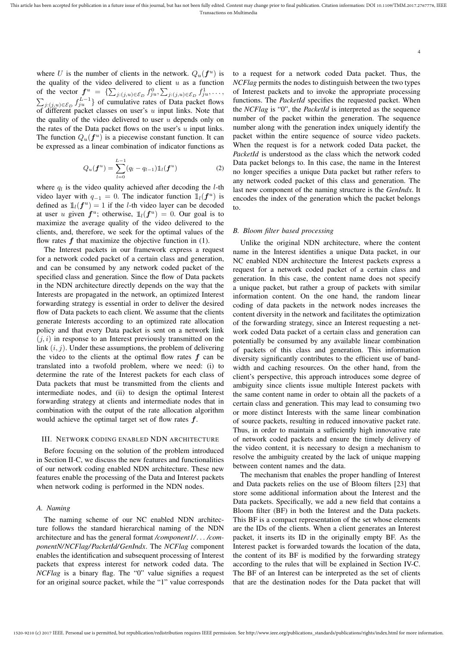where *U* is the number of clients in the network.  $Q_u(f^u)$  is the quality of the video delivered to client *u* as a function of the vector  $f^u = \{\sum_{j:(j,u)\in\mathcal{E}_D} f_{ju}^0, \sum_{j:(j,u)\in\mathcal{E}_D} f_{ju}^1, \dots,$ <br> $\sum_{j:(j,u)\in\mathcal{E}_D} f_{j:(j,u)\in\mathcal{E}_D}^1 f_{ju}^1, \dots,$  $f_{j:(j,u)\in\mathcal{E}_D}$   $f_{ju}^{L-1}$  of cumulative rates of Data packet flows of different packet classes on user's *u* input links. Note that the quality of the video delivered to user *u* depends only on the rates of the Data packet flows on the user's *u* input links. The function  $Q_u(f^u)$  is a piecewise constant function. It can be expressed as a linear combination of indicator functions as

$$
Q_u(\boldsymbol{f}^u) = \sum_{l=0}^{L-1} (q_l - q_{l-1}) \mathbb{1}_l(\boldsymbol{f}^u)
$$
 (2)

where *q<sup>l</sup>* is the video quality achieved after decoding the *l*-th video layer with  $q_{-1} = 0$ . The indicator function  $\mathbb{I}_l(f^u)$  is defined as  $\mathbb{I}_l(f^u)=1$  if the *l*-th video layer can be decoded at user *u* given  $f^u$ ; otherwise,  $\mathbb{I}_l(f^u)=0$ . Our goal is to maximize the average quality of the video delivered to the clients, and, therefore, we seek for the optimal values of the flow rates  $f$  that maximize the objective function in  $(1)$ .

The Interest packets in our framework express a request for a network coded packet of a certain class and generation, and can be consumed by any network coded packet of the specified class and generation. Since the flow of Data packets in the NDN architecture directly depends on the way that the Interests are propagated in the network, an optimized Interest forwarding strategy is essential in order to deliver the desired flow of Data packets to each client. We assume that the clients generate Interests according to an optimized rate allocation policy and that every Data packet is sent on a network link  $(j, i)$  in response to an Interest previously transmitted on the link (*i, j*). Under these assumptions, the problem of delivering the video to the clients at the optimal flow rates *f* can be translated into a twofold problem, where we need: (i) to determine the rate of the Interest packets for each class of Data packets that must be transmitted from the clients and intermediate nodes, and (ii) to design the optimal Interest forwarding strategy at clients and intermediate nodes that in combination with the output of the rate allocation algorithm would achieve the optimal target set of flow rates *f*.

## III. NETWORK CODING ENABLED NDN ARCHITECTURE

Before focusing on the solution of the problem introduced in Section II-C, we discuss the new features and functionalities of our network coding enabled NDN architecture. These new features enable the processing of the Data and Interest packets when network coding is performed in the NDN nodes.

# *A. Naming*

The naming scheme of our NC enabled NDN architecture follows the standard hierarchical naming of the NDN architecture and has the general format */component1/... /componentN/NCFlag/PacketId/GenIndx*. The *NCFlag* component enables the identification and subsequent processing of Interest packets that express interest for network coded data. The *NCFlag* is a binary flag. The "0" value signifies a request for an original source packet, while the "1" value corresponds

to a request for a network coded Data packet. Thus, the *NCFlag* permits the nodes to distinguish between the two types of Interest packets and to invoke the appropriate processing functions. The *PacketId* specifies the requested packet. When the *NCFlag* is "0", the *PacketId* is interpreted as the sequence number of the packet within the generation. The sequence number along with the generation index uniquely identify the packet within the entire sequence of source video packets. When the request is for a network coded Data packet, the *PacketId* is understood as the class which the network coded Data packet belongs to. In this case, the name in the Interest no longer specifies a unique Data packet but rather refers to any network coded packet of this class and generation. The last new component of the naming structure is the *GenIndx*. It encodes the index of the generation which the packet belongs to.

4

## *B. Bloom filter based processing*

Unlike the original NDN architecture, where the content name in the Interest identifies a unique Data packet, in our NC enabled NDN architecture the Interest packets express a request for a network coded packet of a certain class and generation. In this case, the content name does not specify a unique packet, but rather a group of packets with similar information content. On the one hand, the random linear coding of data packets in the network nodes increases the content diversity in the network and facilitates the optimization of the forwarding strategy, since an Interest requesting a network coded Data packet of a certain class and generation can potentially be consumed by any available linear combination of packets of this class and generation. This information diversity significantly contributes to the efficient use of bandwidth and caching resources. On the other hand, from the client's perspective, this approach introduces some degree of ambiguity since clients issue multiple Interest packets with the same content name in order to obtain all the packets of a certain class and generation. This may lead to consuming two or more distinct Interests with the same linear combination of source packets, resulting in reduced innovative packet rate. Thus, in order to maintain a sufficiently high innovative rate of network coded packets and ensure the timely delivery of the video content, it is necessary to design a mechanism to resolve the ambiguity created by the lack of unique mapping between content names and the data.

The mechanism that enables the proper handling of Interest and Data packets relies on the use of Bloom filters [23] that store some additional information about the Interest and the Data packets. Specifically, we add a new field that contains a Bloom filter (BF) in both the Interest and the Data packets. This BF is a compact representation of the set whose elements are the IDs of the clients. When a client generates an Interest packet, it inserts its ID in the originally empty BF. As the Interest packet is forwarded towards the location of the data, the content of its BF is modified by the forwarding strategy according to the rules that will be explained in Section IV-C. The BF of an Interest can be interpreted as the set of clients that are the destination nodes for the Data packet that will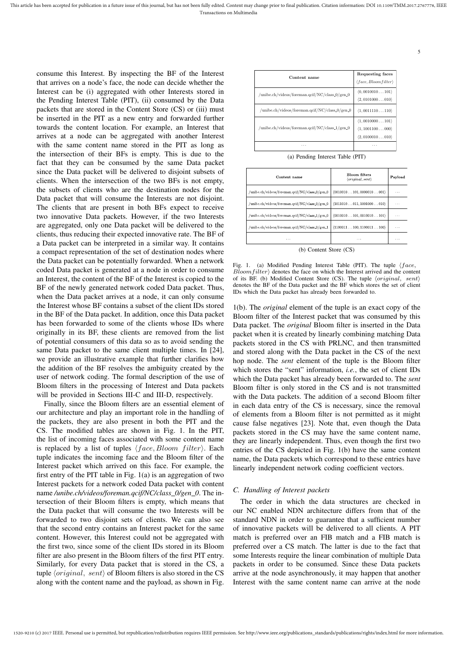consume this Interest. By inspecting the BF of the Interest that arrives on a node's face, the node can decide whether the Interest can be (i) aggregated with other Interests stored in the Pending Interest Table (PIT), (ii) consumed by the Data packets that are stored in the Content Store (CS) or (iii) must be inserted in the PIT as a new entry and forwarded further towards the content location. For example, an Interest that arrives at a node can be aggregated with another Interest with the same content name stored in the PIT as long as the intersection of their BFs is empty. This is due to the fact that they can be consumed by the same Data packet since the Data packet will be delivered to disjoint subsets of clients. When the intersection of the two BFs is not empty, the subsets of clients who are the destination nodes for the Data packet that will consume the Interests are not disjoint. The clients that are present in both BFs expect to receive two innovative Data packets. However, if the two Interests are aggregated, only one Data packet will be delivered to the clients, thus reducing their expected innovative rate. The BF of a Data packet can be interpreted in a similar way. It contains a compact representation of the set of destination nodes where the Data packet can be potentially forwarded. When a network coded Data packet is generated at a node in order to consume an Interest, the content of the BF of the Interest is copied to the BF of the newly generated network coded Data packet. Thus, when the Data packet arrives at a node, it can only consume the Interest whose BF contains a subset of the client IDs stored in the BF of the Data packet. In addition, once this Data packet has been forwarded to some of the clients whose IDs where originally in its BF, these clients are removed from the list of potential consumers of this data so as to avoid sending the same Data packet to the same client multiple times. In [24], we provide an illustrative example that further clarifies how the addition of the BF resolves the ambiguity created by the

will be provided in Sections III-C and III-D, respectively. Finally, since the Bloom filters are an essential element of our architecture and play an important role in the handling of the packets, they are also present in both the PIT and the CS. The modified tables are shown in Fig. 1. In the PIT, the list of incoming faces associated with some content name is replaced by a list of tuples  $\langle face, Bloom\ filter \rangle$ . Each tuple indicates the incoming face and the Bloom filter of the Interest packet which arrived on this face. For example, the first entry of the PIT table in Fig. 1(a) is an aggregation of two Interest packets for a network coded Data packet with content name */unibe.ch/videos/foreman.qcif/NC/class 0/gen 0*. The intersection of their Bloom filters is empty, which means that the Data packet that will consume the two Interests will be forwarded to two disjoint sets of clients. We can also see that the second entry contains an Interest packet for the same content. However, this Interest could not be aggregated with the first two, since some of the client IDs stored in its Bloom filter are also present in the Bloom filters of the first PIT entry. Similarly, for every Data packet that is stored in the CS, a tuple *(original, sent)* of Bloom filters is also stored in the CS along with the content name and the payload, as shown in Fig.

user of network coding. The formal description of the use of Bloom filters in the processing of Interest and Data packets

| Content name                                   | <b>Requesting faces</b><br>$\langle face, Bloom filter \rangle$ |
|------------------------------------------------|-----------------------------------------------------------------|
| /unibe.ch/videos/foreman.qcif/NC/class_0/gen_0 | (0,0010010101)<br>(2,0101000010)                                |
| /unibe.ch/videos/foreman.qcif/NC/class_0/gen_0 | (1,0011110110)                                                  |
| /unibe.ch/videos/foreman.qcif/NC/class_1/gen_0 | (1,0010000101)<br>(1, 1001100000)<br>(2,0100010010)             |
|                                                |                                                                 |

5

(a) Pending Interest Table (PIT)

| Content name                                   | <b>Bloom filters</b><br>$\langle original, sent \rangle$ | Pavload       |
|------------------------------------------------|----------------------------------------------------------|---------------|
| /unibe.ch/videos/foreman.qcif/NC/class_0/gen_0 | (0010010101.0000010001)                                  | .             |
| /unibe.ch/videos/foreman.qcif/NC/class_0/gen_0 | (1011010011, 1001000010)                                 | $\cdots$      |
| /unibe.ch/videos/foreman.qcif/NC/class_1/gen_0 | (0010010101, 0010010101)                                 | $\cdots$      |
| /unibe.ch/videos/foreman.qcif/NC/class_0/gen_1 | (1100011100.1100011100)                                  | $\sim$ $\sim$ |
| 1.1.1                                          | 1.1.1                                                    | 1.1.1         |

(b) Content Store (CS)

Fig. 1. (a) Modified Pending Interest Table (PIT). The tuple  $\langle face,$ *Bloom filter*) denotes the face on which the Interest arrived and the content of its BF. (b) Modified Content Store (CS). The tuple  $\langle original, sent \rangle$ denotes the BF of the Data packet and the BF which stores the set of client IDs which the Data packet has already been forwarded to.

1(b). The *original* element of the tuple is an exact copy of the Bloom filter of the Interest packet that was consumed by this Data packet. The *original* Bloom filter is inserted in the Data packet when it is created by linearly combining matching Data packets stored in the CS with PRLNC, and then transmitted and stored along with the Data packet in the CS of the next hop node. The *sent* element of the tuple is the Bloom filter which stores the "sent" information, *i.e.*, the set of client IDs which the Data packet has already been forwarded to. The *sent* Bloom filter is only stored in the CS and is not transmitted with the Data packets. The addition of a second Bloom filter in each data entry of the CS is necessary, since the removal of elements from a Bloom filter is not permitted as it might cause false negatives [23]. Note that, even though the Data packets stored in the CS may have the same content name, they are linearly independent. Thus, even though the first two entries of the CS depicted in Fig. 1(b) have the same content name, the Data packets which correspond to these entries have linearly independent network coding coefficient vectors.

## *C. Handling of Interest packets*

The order in which the data structures are checked in our NC enabled NDN architecture differs from that of the standard NDN in order to guarantee that a sufficient number of innovative packets will be delivered to all clients. A PIT match is preferred over an FIB match and a FIB match is preferred over a CS match. The latter is due to the fact that some Interests require the linear combination of multiple Data packets in order to be consumed. Since these Data packets arrive at the node asynchronously, it may happen that another Interest with the same content name can arrive at the node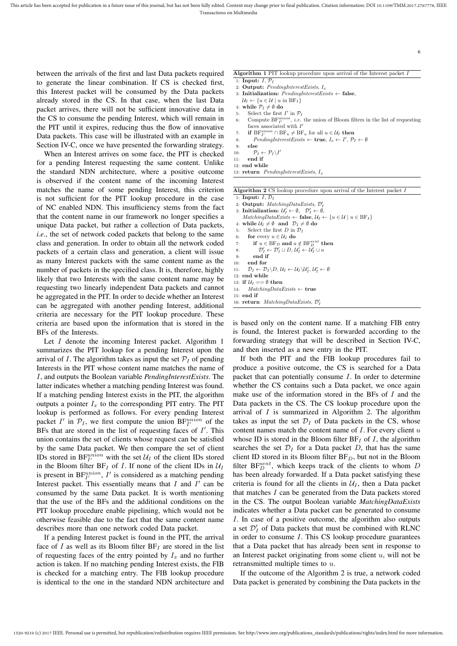between the arrivals of the first and last Data packets required to generate the linear combination. If CS is checked first, this Interest packet will be consumed by the Data packets already stored in the CS. In that case, when the last Data packet arrives, there will not be sufficient innovative data in the CS to consume the pending Interest, which will remain in the PIT until it expires, reducing thus the flow of innovative Data packets. This case will be illustrated with an example in Section IV-C, once we have presented the forwarding strategy.

When an Interest arrives on some face, the PIT is checked for a pending Interest requesting the same content. Unlike the standard NDN architecture, where a positive outcome is observed if the content name of the incoming Interest matches the name of some pending Interest, this criterion is not sufficient for the PIT lookup procedure in the case of NC enabled NDN. This insufficiency stems from the fact that the content name in our framework no longer specifies a unique Data packet, but rather a collection of Data packets, *i.e.*, the set of network coded packets that belong to the same class and generation. In order to obtain all the network coded packets of a certain class and generation, a client will issue as many Interest packets with the same content name as the number of packets in the specified class. It is, therefore, highly likely that two Interests with the same content name may be requesting two linearly independent Data packets and cannot be aggregated in the PIT. In order to decide whether an Interest can be aggregated with another pending Interest, additional criteria are necessary for the PIT lookup procedure. These criteria are based upon the information that is stored in the BFs of the Interests.

Let *I* denote the incoming Interest packet. Algorithm 1 summarizes the PIT lookup for a pending Interest upon the arrival of *I*. The algorithm takes as input the set  $P_I$  of pending Interests in the PIT whose content name matches the name of *I*, and outputs the Boolean variable *PendingInterestExists*. The latter indicates whether a matching pending Interest was found. If a matching pending Interest exists in the PIT, the algorithm outputs a pointer  $I_x$  to the corresponding PIT entry. The PIT lookup is performed as follows. For every pending Interest packet *I'* in  $\mathcal{P}_I$ , we first compute the union  $BF_I^{union}$  of the BFs that are stored in the list of requesting faces of *I'*. This union contains the set of clients whose request can be satisfied by the same Data packet. We then compare the set of client IDs stored in  $BF_I^{union}$  with the set  $U_I$  of the client IDs stored in the Bloom filter  $BF_I$  of *I*. If none of the client IDs in  $U_I$ is present in  $BF_I^{union}$ ,  $I'$  is considered as a matching pending Interest packet. This essentially means that  $I$  and  $I'$  can be consumed by the same Data packet. It is worth mentioning that the use of the BFs and the additional conditions on the PIT lookup procedure enable pipelining, which would not be otherwise feasible due to the fact that the same content name describes more than one network coded Data packet.

If a pending Interest packet is found in the PIT, the arrival face of *I* as well as its Bloom filter  $BF_I$  are stored in the list of requesting faces of the entry pointed by  $I<sub>x</sub>$  and no further action is taken. If no matching pending Interest exists, the FIB is checked for a matching entry. The FIB lookup procedure is identical to the one in the standard NDN architecture and Algorithm 1 PIT lookup procedure upon arrival of the Interest packet *I*

6

- 1: Input: *I*, *P<sup>I</sup>*
- 2: Output: *PendingInterestExists*, *I<sup>x</sup>*
- 3: Initialization:  $PendingInterestExists \leftarrow false$  $U_I \leftarrow \{u \in \mathcal{U} \mid u \text{ in } BF_I\}$
- 
- 4: **while**  $\mathcal{P}_I \neq \emptyset$  **do**<br>5: Select the first
- 5: Select the first  $I'$  in  $\mathcal{P}_I$ <br>6: Compute  $BF^{union}_I$ , *i.e.* 6: Compute  $BF_I^{union}$ , *i.e.* the union of Bloom filters in the list of requesting
- faces associated with  $I'$ <br>7: **if**  $BF_{I'}^{union} \cap BF_u \neq BF_u$  for all  $u \in U_I$  then
- 8: *PendingInterestExists*  $\leftarrow$  **true**,  $I_x \leftarrow I', \mathcal{P}_I \leftarrow \emptyset$
- 9: else
- 10:  $\mathcal{P}_I \leftarrow \mathcal{P}_I \setminus I'$ <br>11: **end if** end if
- 12: end while
- 13: return *PendingInterestExists*, *I<sup>x</sup>*

| <b>Algorithm 2</b> CS lookup procedure upon arrival of the Interest packet $I$                                                                                      |  |  |  |  |
|---------------------------------------------------------------------------------------------------------------------------------------------------------------------|--|--|--|--|
| 1: Input: $I, \mathcal{D}_I$                                                                                                                                        |  |  |  |  |
| 2: <b>Output:</b> MatchingDataExists, $\mathcal{D}'$                                                                                                                |  |  |  |  |
| 3: Initialization: $\mathcal{U}'_I \leftarrow \emptyset$ , $\mathcal{D}'_I \leftarrow \emptyset$ ,                                                                  |  |  |  |  |
| $MatchingDataExists \leftarrow false, \mathcal{U}_I \leftarrow \{u \in \mathcal{U} \mid u \in BF_I\}$                                                               |  |  |  |  |
| 4: while $\mathcal{U}_I \neq \emptyset$ and $\mathcal{D}_I \neq \emptyset$ do                                                                                       |  |  |  |  |
| Select the first D in $\mathcal{D}_I$<br>5:                                                                                                                         |  |  |  |  |
| for every $u \in \mathcal{U}_I$ do<br>6:                                                                                                                            |  |  |  |  |
| if $u \in BF_D$ and $u \notin BF_D^{sent}$ then<br>7:                                                                                                               |  |  |  |  |
| $\mathcal{D}_I' \leftarrow \mathcal{D}_I' \cup D, \mathcal{U}_I' \leftarrow \mathcal{U}_I' \cup u$<br>8:                                                            |  |  |  |  |
| end if<br>9:                                                                                                                                                        |  |  |  |  |
| end for<br>10:                                                                                                                                                      |  |  |  |  |
| $\mathcal{D}_I \leftarrow \mathcal{D}_I \backslash D, \mathcal{U}_I \leftarrow \mathcal{U}_I \backslash \mathcal{U}'_I, \mathcal{U}'_I \leftarrow \emptyset$<br>11: |  |  |  |  |
| $12:$ end while                                                                                                                                                     |  |  |  |  |
| 13: if $\mathcal{U}_I == \emptyset$ then                                                                                                                            |  |  |  |  |
| $MatchingDataExists \leftarrow true$<br>14:                                                                                                                         |  |  |  |  |
| $15:$ end if                                                                                                                                                        |  |  |  |  |
| 16: return <i>MatchingDataExists</i> , $\mathcal{D}'_I$                                                                                                             |  |  |  |  |
|                                                                                                                                                                     |  |  |  |  |
|                                                                                                                                                                     |  |  |  |  |

is based only on the content name. If a matching FIB entry is found, the Interest packet is forwarded according to the forwarding strategy that will be described in Section IV-C, and then inserted as a new entry in the PIT.

If both the PIT and the FIB lookup procedures fail to produce a positive outcome, the CS is searched for a Data packet that can potentially consume *I*. In order to determine whether the CS contains such a Data packet, we once again make use of the information stored in the BFs of *I* and the Data packets in the CS. The CS lookup procedure upon the arrival of *I* is summarized in Algorithm 2. The algorithm takes as input the set  $\mathcal{D}_I$  of Data packets in the CS, whose content names match the content name of *I*. For every client *u* whose ID is stored in the Bloom filter  $BF_I$  of *I*, the algorithm searches the set  $\mathcal{D}_I$  for a Data packet *D*, that has the same client ID stored in its Bloom filter BF*D*, but not in the Bloom filter BF<sub>2</sub><sup>sent</sup>, which keeps track of the clients to whom *D* has been already forwarded. If a Data packet satisfying these criteria is found for all the clients in  $U_I$ , then a Data packet that matches *I* can be generated from the Data packets stored in the CS. The output Boolean variable *MatchingDataExists* indicates whether a Data packet can be generated to consume *I*. In case of a positive outcome, the algorithm also outputs a set  $\mathcal{D}'_I$  of Data packets that must be combined with RLNC in order to consume *I*. This CS lookup procedure guarantees that a Data packet that has already been sent in response to an Interest packet originating from some client *u*, will not be retransmitted multiple times to *u*.

If the outcome of the Algorithm 2 is true, a network coded Data packet is generated by combining the Data packets in the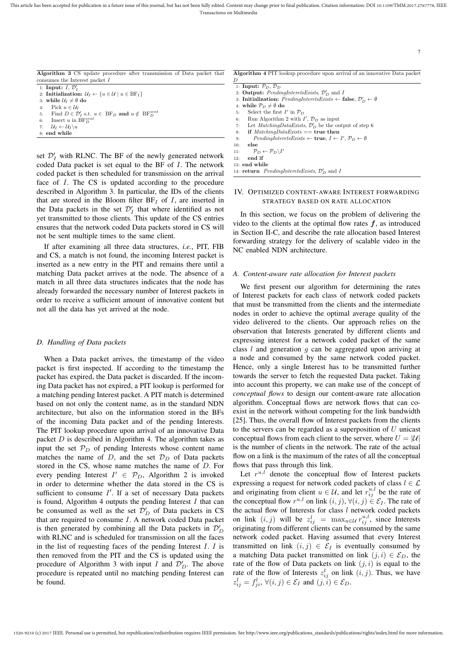| consumes the Interest packet I                                                      |
|-------------------------------------------------------------------------------------|
| 1: Input: $I, \mathcal{D}'_I$                                                       |
| 2: Initialization: $\mathcal{U}_I \leftarrow \{u \in \mathcal{U} \mid u \in BF_I\}$ |
| 3: while $\mathcal{U}_I \neq \emptyset$ do                                          |
| 4: Pick $u \in \mathcal{U}_I$                                                       |
| 5: Find $D \in \mathcal{D}'_I$ s.t. $u \in BF_D$ and $u \notin BF_D^{sent}$         |
| 6: Insert u in $BF^{sent}_{D}$                                                      |
| 7: $\mathcal{U}_I \leftarrow \mathcal{U}_I \setminus u$                             |
| 8: end while                                                                        |

Algorithm 3 CS update procedure after transmission of Data packet that

set  $\mathcal{D}'_I$  with RLNC. The BF of the newly generated network coded Data packet is set equal to the BF of *I*. The network coded packet is then scheduled for transmission on the arrival face of *I*. The CS is updated according to the procedure described in Algorithm 3. In particular, the IDs of the clients that are stored in the Bloom filter  $BF_I$  of *I*, are inserted in the Data packets in the set  $\mathcal{D}'_I$  that where identified as not yet transmitted to those clients. This update of the CS entries ensures that the network coded Data packets stored in CS will not be sent multiple times to the same client.

If after examining all three data structures, *i.e.*, PIT, FIB and CS, a match is not found, the incoming Interest packet is inserted as a new entry in the PIT and remains there until a matching Data packet arrives at the node. The absence of a match in all three data structures indicates that the node has already forwarded the necessary number of Interest packets in order to receive a sufficient amount of innovative content but not all the data has yet arrived at the node.

## *D. Handling of Data packets*

When a Data packet arrives, the timestamp of the video packet is first inspected. If according to the timestamp the packet has expired, the Data packet is discarded. If the incoming Data packet has not expired, a PIT lookup is performed for a matching pending Interest packet. A PIT match is determined based on not only the content name, as in the standard NDN architecture, but also on the information stored in the BFs of the incoming Data packet and of the pending Interests. The PIT lookup procedure upon arrival of an innovative Data packet *D* is described in Algorithm 4. The algorithm takes as input the set  $P_D$  of pending Interests whose content name matches the name of  $D$ , and the set  $\mathcal{D}_D$  of Data packets stored in the CS, whose name matches the name of *D*. For every pending Interest  $I' \in \mathcal{P}_D$ , Algorithm 2 is invoked in order to determine whether the data stored in the CS is sufficient to consume  $I'$ . If a set of necessary Data packets is found, Algorithm 4 outputs the pending Interest *I* that can be consumed as well as the set  $\mathcal{D}'_D$  of Data packets in CS that are required to consume *I*. A network coded Data packet is then generated by combining all the Data packets in  $\mathcal{D}'_D$ with RLNC and is scheduled for transmission on all the faces in the list of requesting faces of the pending Interest *I*. *I* is then removed from the PIT and the CS is updated using the procedure of Algorithm 3 with input *I* and  $\mathcal{D}'_D$ . The above procedure is repeated until no matching pending Interest can be found.

|     | <b>Algorithm 4</b> PIT lookup procedure upon arrival of an innovative Data packet                         |
|-----|-----------------------------------------------------------------------------------------------------------|
| D   |                                                                                                           |
|     | 1: Input: $\mathcal{P}_D, \mathcal{D}_D$                                                                  |
|     | 2: <b>Output:</b> PendingInteretsExists, $\mathcal{D}'_D$ and I                                           |
|     | 3: Initialization: <i>PendingInteretsExists</i> $\leftarrow$ false, $\mathcal{D}'_D \leftarrow \emptyset$ |
|     | 4: while $\mathcal{P}_D \neq \emptyset$ do                                                                |
| 5:  | Select the first $I'$ in $\mathcal{P}_D$                                                                  |
| 6:  | Run Algorithm 2 with $I'$ , $\mathcal{D}_D$ as input                                                      |
| 7:  | Let <i>MatchingDataExists</i> , $\mathcal{D}'_D$ be the output of step 6                                  |
| 8:  | if $MatchingDataExists == true$ then                                                                      |
| 9:  | $PendingInterestExists \leftarrow true, I \leftarrow I', P_D \leftarrow \emptyset$                        |
| 10: | else                                                                                                      |
| 11: | $\mathcal{P}_D \leftarrow \mathcal{P}_D \backslash I'$                                                    |
| 12: | end if                                                                                                    |
|     | $13:$ end while                                                                                           |

7

## IV. OPTIMIZED CONTENT-AWARE INTEREST FORWARDING STRATEGY BASED ON RATE ALLOCATION

14: **return** *PendingInteretsExists*,  $\mathcal{D}'_D$  and *I* 

In this section, we focus on the problem of delivering the video to the clients at the optimal flow rates  $f$ , as introduced in Section II-C, and describe the rate allocation based Interest forwarding strategy for the delivery of scalable video in the NC enabled NDN architecture.

#### *A. Content-aware rate allocation for Interest packets*

We first present our algorithm for determining the rates of Interest packets for each class of network coded packets that must be transmitted from the clients and the intermediate nodes in order to achieve the optimal average quality of the video delivered to the clients. Our approach relies on the observation that Interests generated by different clients and expressing interest for a network coded packet of the same class *l* and generation *g* can be aggregated upon arriving at a node and consumed by the same network coded packet. Hence, only a single Interest has to be transmitted further towards the server to fetch the requested Data packet. Taking into account this property, we can make use of the concept of *conceptual flows* to design our content-aware rate allocation algorithm. Conceptual flows are network flows that can coexist in the network without competing for the link bandwidth [25]. Thus, the overall flow of Interest packets from the clients to the servers can be regarded as a superposition of *U* unicast conceptual flows from each client to the server, where  $U = |\mathcal{U}|$ is the number of clients in the network. The rate of the actual flow on a link is the maximum of the rates of all the conceptual flows that pass through this link.

Let  $r^{u,l}$  denote the conceptual flow of Interest packets expressing a request for network coded packets of class  $l \in \mathcal{L}$ and originating from client  $u \in \mathcal{U}$ , and let  $r_{ij}^{u,l}$  be the rate of the conceptual flow  $r^{u,l}$  on link  $(i, j)$ ,  $\forall (i, j) \in \mathcal{E}_I$ . The rate of the actual flow of Interests for class *l* network coded packets on link  $(i, j)$  will be  $z_{ij}^l = \max_{u \in \mathcal{U}} r_{ij}^{u,l}$ , since Interests originating from different clients can be consumed by the same network coded packet. Having assumed that every Interest transmitted on link  $(i, j) \in \mathcal{E}_I$  is eventually consumed by a matching Data packet transmitted on link  $(j, i) \in \mathcal{E}_D$ , the rate of the flow of Data packets on link  $(j, i)$  is equal to the rate of the flow of Interests  $z_{ij}^l$  on link  $(i, j)$ . Thus, we have  $z_{ij}^l = f_{ji}^l$ ,  $\forall (i, j) \in \mathcal{E}_I$  and  $(j, i) \in \mathcal{E}_D$ .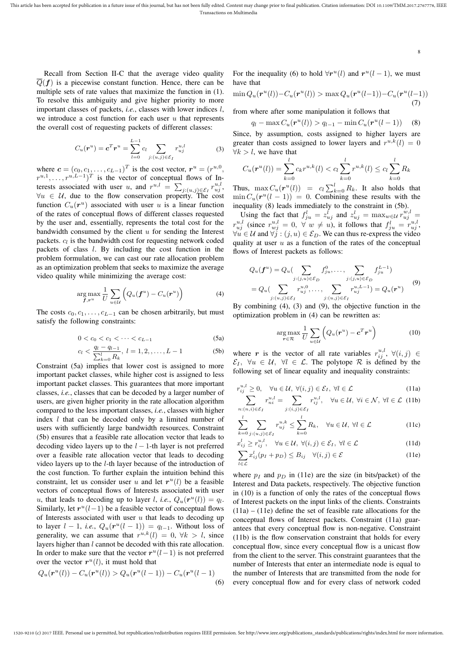Recall from Section II-C that the average video quality  $\overline{Q}(f)$  is a piecewise constant function. Hence, there can be multiple sets of rate values that maximize the function in (1). To resolve this ambiguity and give higher priority to more important classes of packets, *i.e.*, classes with lower indices *l*, we introduce a cost function for each user *u* that represents the overall cost of requesting packets of different classes:

$$
C_u(\boldsymbol{r}^u) = \boldsymbol{c}^T \boldsymbol{r}^u = \sum_{l=0}^{L-1} c_l \sum_{j:(u,j)\in \mathcal{E}_I} r_{uj}^{u,l}
$$
(3)

where  $c = (c_0, c_1, \ldots, c_{L-1})^T$  is the cost vector,  $r^u = (r^{u,0},$  $r^{u,1}, \ldots, r^{u,L-1}$ <sup>T</sup> is the vector of conceptual flows of Interests associated with user *u*, and  $r^{u,l} = \sum_{j:(u,j)\in\mathcal{E}_I} r^{u,l}_{uj}$ ,  $\forall u \in \mathcal{U}$ , due to the flow conservation property. The cost function  $C_u(\mathbf{r}^u)$  associated with user *u* is a linear function of the rates of conceptual flows of different classes requested by the user and, essentially, represents the total cost for the bandwidth consumed by the client *u* for sending the Interest packets. *c<sup>l</sup>* is the bandwidth cost for requesting network coded packets of class *l*. By including the cost function in the problem formulation, we can cast our rate allocation problem as an optimization problem that seeks to maximize the average video quality while minimizing the average cost:

$$
\underset{\boldsymbol{f},\boldsymbol{r}^u}{\arg\max} \frac{1}{U} \sum_{u\in\mathcal{U}} \left( Q_u(\boldsymbol{f}^u) - C_u(\boldsymbol{r}^u) \right) \tag{4}
$$

The costs  $c_0, c_1, \ldots, c_{L-1}$  can be chosen arbitrarily, but must satisfy the following constraints:

$$
0 < c_0 < c_1 < \dots < c_{L-1} \tag{5a}
$$

$$
c_l < \frac{q_l - q_{l-1}}{\sum_{k=0}^l R_k}, \ l = 1, 2, \dots, L - 1 \tag{5b}
$$

Constraint (5a) implies that lower cost is assigned to more important packet classes, while higher cost is assigned to less important packet classes. This guarantees that more important classes, *i.e.*, classes that can be decoded by a larger number of users, are given higher priority in the rate allocation algorithm compared to the less important classes, *i.e.*, classes with higher index *l* that can be decoded only by a limited number of users with sufficiently large bandwidth resources. Constraint (5b) ensures that a feasible rate allocation vector that leads to decoding video layers up to the  $l-1$ -th layer is not preferred over a feasible rate allocation vector that leads to decoding video layers up to the *l*-th layer because of the introduction of the cost function. To further explain the intuition behind this constraint, let us consider user *u* and let  $r^u(l)$  be a feasible vectors of conceptual flows of Interests associated with user *u*, that leads to decoding up to layer *l*, *i.e.*,  $Q_u(\mathbf{r}^u(l)) = q_l$ . Similarly, let  $r^u(l-1)$  be a feasible vector of conceptual flows of Interests associated with user *u* that leads to decoding up to layer  $l-1$ , *i.e.*,  $Q_u(\mathbf{r}^u(l-1)) = q_{l-1}$ . Without loss of generality, we can assume that  $r^{u,k}(l) = 0, \forall k > l$ , since layers higher than *l* cannot be decoded with this rate allocation. In order to make sure that the vector  $r^u(l-1)$  is not preferred over the vector  $r^u(l)$ , it must hold that

$$
Q_u(\mathbf{r}^u(l)) - C_u(\mathbf{r}^u(l)) > Q_u(\mathbf{r}^u(l-1)) - C_u(\mathbf{r}^u(l-1))
$$
\n(6)

For the inequality (6) to hold  $\forall r^u(l)$  and  $r^u(l-1)$ , we must have that

$$
\min Q_u(\mathbf{r}^u(l)) - C_u(\mathbf{r}^u(l)) > \max Q_u(\mathbf{r}^u(l-1)) - C_u(\mathbf{r}^u(l-1))
$$
\n(7)

from where after some manipulation it follows that

$$
q_l - \max C_u(\mathbf{r}^u(l)) > q_{l-1} - \min C_u(\mathbf{r}^u(l-1)) \quad (8)
$$

Since, by assumption, costs assigned to higher layers are greater than costs assigned to lower layers and  $r^{u,k}(l)=0$  $\forall k > l$ , we have that

$$
C_u(\mathbf{r}^u(l)) = \sum_{k=0}^l c_k \mathbf{r}^{u,k}(l) < c_l \sum_{k=0}^l \mathbf{r}^{u,k}(l) \leq c_l \sum_{k=0}^l R_k
$$

Thus,  $\max C_u(\mathbf{r}^u(l)) = c_l \sum_{k=0}^l R_k$ . It also holds that  $\min C_u(r^u(l-1)) = 0$ . Combining these results with the inequality (8) leads immediately to the constraint in (5b).

Using the fact that  $f_{ju}^l = z_{uj}^l$  and  $z_{uj}^l = \max_{w \in \mathcal{U}} r_{uj}^{w,l} =$  $r_{uj}^{u,l}$  (since  $r_{wj}^{u,l} = 0$ ,  $\forall w \neq u$ ), it follows that  $f_{ju}^l = r_{uj}^{u,l}$ ,  $\forall u \in \mathcal{U}$  and  $\forall j : (j, u) \in \mathcal{E}_D$ . We can thus re-express the video quality at user *u* as a function of the rates of the conceptual flows of Interest packets as follows:

$$
Q_u(\boldsymbol{f}^u) = Q_u(\sum_{j:(j,u)\in\mathcal{E}_D} f_{ju}^0, \dots, \sum_{j:(j,u)\in\mathcal{E}_D} f_{ju}^{L-1})
$$
  
=  $Q_u(\sum_{j:(u,j)\in\mathcal{E}_I} r_{uj}^{u,0}, \dots, \sum_{j:(u,j)\in\mathcal{E}_I} r_{uj}^{u,L-1}) = Q_u(\boldsymbol{r}^u)$  (9)

By combining (4), (3) and (9), the objective function in the optimization problem in (4) can be rewritten as:

$$
\underset{\boldsymbol{r}\in\mathcal{R}}{\arg\max} \frac{1}{U} \sum_{u\in\mathcal{U}} \left( Q_u(\boldsymbol{r}^u) - \boldsymbol{c}^T \boldsymbol{r}^u \right) \tag{10}
$$

where *r* is the vector of all rate variables  $r_{ij}^{u,l}$ ,  $\forall (i, j) \in$  $\mathcal{E}_I$ ,  $\forall u \in \mathcal{U}$ ,  $\forall l \in \mathcal{L}$ . The polytope *R* is defined by the following set of linear equality and inequality constraints:

$$
r_{ij}^{u,l} \ge 0, \quad \forall u \in \mathcal{U}, \ \forall (i,j) \in \mathcal{E}_I, \ \forall l \in \mathcal{L}
$$
 (11a)

$$
\sum_{n:(n,i)\in\mathcal{E}_I} r_{ni}^{u,l} = \sum_{j:(i,j)\in\mathcal{E}_I} r_{ij}^{u,l}, \quad \forall u \in \mathcal{U}, \ \forall i \in \mathcal{N}, \ \forall l \in \mathcal{L} \tag{11b}
$$

$$
\sum_{k=0}^{l} \sum_{j:(u,j)\in\mathcal{E}_{I}} r_{uj}^{u,k} \le \sum_{k=0}^{l} R_k, \quad \forall u \in \mathcal{U}, \ \forall l \in \mathcal{L}
$$
 (11c)

$$
x_{ij}^l \ge r_{ij}^{u,l}, \quad \forall u \in \mathcal{U}, \ \forall (i,j) \in \mathcal{E}_I, \ \forall l \in \mathcal{L}
$$
 (11d)

$$
\sum_{l \in \mathcal{L}} x_{ij}^l (p_I + p_D) \le B_{ij} \quad \forall (i, j) \in \mathcal{E}
$$
 (11e)

where  $p_I$  and  $p_D$  in (11e) are the size (in bits/packet) of the Interest and Data packets, respectively. The objective function in (10) is a function of only the rates of the conceptual flows of Interest packets on the input links of the clients. Constraints  $(11a) - (11e)$  define the set of feasible rate allocations for the conceptual flows of Interest packets. Constraint (11a) guarantees that every conceptual flow is non-negative. Constraint (11b) is the flow conservation constraint that holds for every conceptual flow, since every conceptual flow is a unicast flow from the client to the server. This constraint guarantees that the number of Interests that enter an intermediate node is equal to the number of Interests that are transmitted from the node for every conceptual flow and for every class of network coded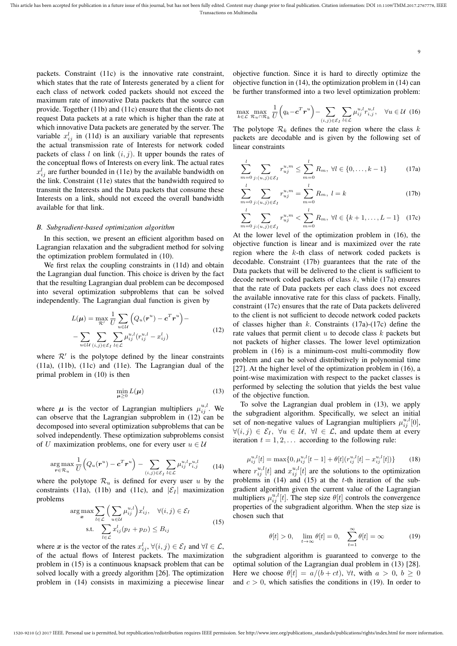packets. Constraint (11c) is the innovative rate constraint, which states that the rate of Interests generated by a client for each class of network coded packets should not exceed the maximum rate of innovative Data packets that the source can provide. Together (11b) and (11c) ensure that the clients do not request Data packets at a rate which is higher than the rate at which innovative Data packets are generated by the server. The variable  $x_{ij}^l$  in (11d) is an auxiliary variable that represents the actual transmission rate of Interests for network coded packets of class *l* on link  $(i, j)$ . It upper bounds the rates of the conceptual flows of Interests on every link. The actual rates  $x_{ij}^l$  are further bounded in (11e) by the available bandwidth on the link. Constraint (11e) states that the bandwidth required to transmit the Interests and the Data packets that consume these Interests on a link, should not exceed the overall bandwidth available for that link.

### *B. Subgradient-based optimization algorithm*

In this section, we present an efficient algorithm based on Lagrangian relaxation and the subgradient method for solving the optimization problem formulated in (10).

We first relax the coupling constraints in (11d) and obtain the Lagrangian dual function. This choice is driven by the fact that the resulting Lagrangian dual problem can be decomposed into several optimization subproblems that can be solved independently. The Lagrangian dual function is given by

$$
L(\boldsymbol{\mu}) = \max_{\mathcal{R}'} \frac{1}{U} \sum_{u \in \mathcal{U}} \left( Q_u(\boldsymbol{r}^u) - \boldsymbol{c}^T \boldsymbol{r}^u \right) -
$$

$$
- \sum_{u \in \mathcal{U}} \sum_{(i,j) \in \mathcal{E}_I} \sum_{l \in \mathcal{L}} \mu_{ij}^{u,l}(r_{ij}^{u,l} - x_{ij}^l)
$$
(12)

where  $\mathcal{R}$ <sup> $\prime$ </sup> is the polytope defined by the linear constraints (11a), (11b), (11c) and (11e). The Lagrangian dual of the primal problem in (10) is then

$$
\min_{\mu \ge 0} L(\mu) \tag{13}
$$

where  $\mu$  is the vector of Lagrangian multipliers  $\mu_{ij}^{u,l}$ . We can observe that the Lagrangian subproblem in  $(12)$  can be decomposed into several optimization subproblems that can be solved independently. These optimization subproblems consist of *U* maximization problems, one for every user  $u \in U$ 

$$
\underset{\boldsymbol{r}\in\mathcal{R}_u}{\arg\max} \frac{1}{U} \Big( Q_u(\boldsymbol{r}^u) - \boldsymbol{c}^T \boldsymbol{r}^u \Big) - \sum_{(i,j)\in\mathcal{E}_I} \sum_{l\in\mathcal{L}} \mu_{ij}^{u,l} r_{i,j}^{u,l} \qquad (14)
$$

where the polytope  $\mathcal{R}_u$  is defined for every user *u* by the constraints (11a), (11b) and (11c), and  $|\mathcal{E}_I|$  maximization problems

$$
\arg \max_{\mathbf{x}} \sum_{l \in \mathcal{L}} \left( \sum_{u \in \mathcal{U}} \mu_{ij}^{u,l} \right) x_{ij}^l, \quad \forall (i, j) \in \mathcal{E}_I
$$
\n
$$
\text{s.t. } \sum_{l \in \mathcal{L}} x_{ij}^l (p_I + p_D) \le B_{ij} \tag{15}
$$

where *x* is the vector of the rates  $x_{ij}^l$ ,  $\forall (i, j) \in \mathcal{E}_I$  and  $\forall l \in \mathcal{L}$ , of the actual flows of Interest packets. The maximization problem in (15) is a continuous knapsack problem that can be solved locally with a greedy algorithm [26]. The optimization problem in (14) consists in maximizing a piecewise linear

objective function. Since it is hard to directly optimize the objective function in (14), the optimization problem in (14) can be further transformed into a two level optimization problem:

9

$$
\max_{k \in \mathcal{L}} \max_{\mathcal{R}_u \cap \mathcal{R}_k} \frac{1}{U} \left( q_k - \mathbf{c}^T \mathbf{r}^u \right) - \sum_{(i,j) \in \mathcal{E}_I} \sum_{l \in \mathcal{L}} \mu_{ij}^{u,l} r_{i,j}^{u,l}, \quad \forall u \in \mathcal{U} \tag{16}
$$

The polytope  $\mathcal{R}_k$  defines the rate region where the class  $k$ packets are decodable and is given by the following set of linear constraints

$$
\sum_{m=0}^{l} \sum_{j:(u,j)\in \mathcal{E}_I} r_{uj}^{u,m} \le \sum_{m=0}^{l} R_m, \ \forall l \in \{0, \dots, k-1\}
$$
 (17a)

$$
\sum_{m=0}^{l} \sum_{j:(u,j)\in \mathcal{E}_I} r_{uj}^{u,m} = \sum_{m=0}^{l} R_m, \ l = k \tag{17b}
$$

$$
\sum_{m=0}^{l} \sum_{j:(u,j)\in \mathcal{E}_I} r_{uj}^{u,m} < \sum_{m=0}^{l} R_m, \ \forall l \in \{k+1,\dots,L-1\} \tag{17c}
$$

At the lower level of the optimization problem in (16), the objective function is linear and is maximized over the rate region where the *k*-th class of network coded packets is decodable. Constraint (17b) guarantees that the rate of the Data packets that will be delivered to the client is sufficient to decode network coded packets of class *k*, while (17a) ensures that the rate of Data packets per each class does not exceed the available innovative rate for this class of packets. Finally, constraint (17c) ensures that the rate of Data packets delivered to the client is not sufficient to decode network coded packets of classes higher than *k*. Constraints (17a)-(17c) define the rate values that permit client *u* to decode class *k* packets but not packets of higher classes. The lower level optimization problem in (16) is a minimum-cost multi-commodity flow problem and can be solved distributively in polynomial time [27]. At the higher level of the optimization problem in (16), a point-wise maximization with respect to the packet classes is performed by selecting the solution that yields the best value of the objective function.

To solve the Lagrangian dual problem in (13), we apply the subgradient algorithm. Specifically, we select an initial set of non-negative values of Lagrangian multipliers  $\mu_{ij}^{u,l}[0]$ ,  $\forall (i, j) \in \mathcal{E}_I$ ,  $\forall u \in \mathcal{U}$ ,  $\forall l \in \mathcal{L}$ , and update them at every iteration  $t = 1, 2, \ldots$  according to the following rule:

$$
\mu_{ij}^{u,l}[t] = \max\{0, \mu_{ij}^{u,l}[t-1] + \theta[t](r_{ij}^{u,l}[t] - x_{ij}^{u,l}[t])\} \tag{18}
$$

where  $r_{ij}^{u,l}[t]$  and  $x_{ij}^{u,l}[t]$  are the solutions to the optimization problems in (14) and (15) at the *t*-th iteration of the subgradient algorithm given the current value of the Lagrangian multipliers  $\mu_{ij}^{u,l}[t]$ . The step size  $\theta[t]$  controls the convergence properties of the subgradient algorithm. When the step size is chosen such that

$$
\theta[t] > 0, \quad \lim_{t \to \infty} \theta[t] = 0, \quad \sum_{t=1}^{\infty} \theta[t] = \infty \tag{19}
$$

the subgradient algorithm is guaranteed to converge to the optimal solution of the Lagrangian dual problem in (13) [28]. Here we choose  $\theta[t] = a/(b+ct)$ ,  $\forall t$ , with  $a > 0$ ,  $b \ge 0$ and  $c > 0$ , which satisfies the conditions in (19). In order to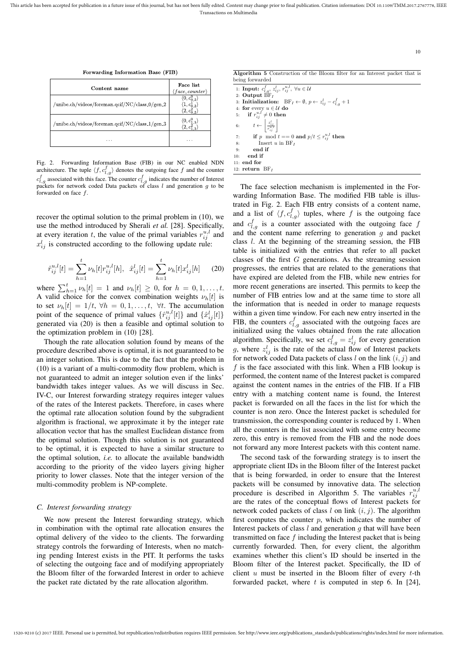| Content name                                   | Face list<br>$\langle face, counter \rangle$                            |
|------------------------------------------------|-------------------------------------------------------------------------|
| /unibe.ch/videos/foreman.qcif/NC/class_0/gen_2 | $\langle 0, c_0^0 \rangle$<br>$1, c_{0,2}^{1}$<br>$(2, c_0^2,$          |
| /unibe.ch/videos/foreman.qcif/NC/class_1/gen_3 | $\frac{\langle 0, c^0_{1,\cdot} \rangle}{\langle 2, c^2_{1,3} \rangle}$ |
| .                                              | $\cdots$                                                                |

Forwarding Information Base (FIB)

Fig. 2. Forwarding Information Base (FIB) in our NC enabled NDN architecture. The tuple  $\langle f, c^f_{l,g} \rangle$  denotes the outgoing face  $f$  and the counter  $c_{l,g}^f$  associated with this face. The counter  $c_{l,g}^f$  indicates the number of Interest packets for network coded Data packets of class *l* and generation *g* to be forwarded on face *f*.

recover the optimal solution to the primal problem in (10), we use the method introduced by Sherali *et al.* [28]. Specifically, at every iteration *t*, the value of the primal variables  $r_{ij}^{u,l}$  and  $x_{ij}^l$  is constructed according to the following update rule:

$$
\hat{r}_{ij}^{u,l}[t] = \sum_{h=1}^{t} \nu_h[t] r_{ij}^{u,l}[h], \quad \hat{x}_{ij}^l[t] = \sum_{h=1}^{t} \nu_h[t] x_{ij}^l[h] \tag{20}
$$

where  $\sum_{h=1}^{t} \nu_h[t] = 1$  and  $\nu_h[t] \geq 0$ , for  $h = 0, 1, \ldots, t$ . A valid choice for the convex combination weights  $\nu_h[t]$  is to set  $\nu_h[t]=1/t$ ,  $\forall h=0,1,\ldots,t$ ,  $\forall t$ . The accumulation point of the sequence of primal values  $\{\hat{r}_{ij}^{u,l}[t]\}$  and  $\{\hat{x}_{ij}^l[t]\}$ generated via (20) is then a feasible and optimal solution to the optimization problem in (10) [28].

Though the rate allocation solution found by means of the procedure described above is optimal, it is not guaranteed to be an integer solution. This is due to the fact that the problem in (10) is a variant of a multi-commodity flow problem, which is not guaranteed to admit an integer solution even if the links' bandwidth takes integer values. As we will discuss in Sec. IV-C, our Interest forwarding strategy requires integer values of the rates of the Interest packets. Therefore, in cases where the optimal rate allocation solution found by the subgradient algorithm is fractional, we approximate it by the integer rate allocation vector that has the smallest Euclidean distance from the optimal solution. Though this solution is not guaranteed to be optimal, it is expected to have a similar structure to the optimal solution, *i.e.* to allocate the available bandwidth according to the priority of the video layers giving higher priority to lower classes. Note that the integer version of the multi-commodity problem is NP-complete.

### *C. Interest forwarding strategy*

We now present the Interest forwarding strategy, which in combination with the optimal rate allocation ensures the optimal delivery of the video to the clients. The forwarding strategy controls the forwarding of Interests, when no matching pending Interest exists in the PIT. It performs the tasks of selecting the outgoing face and of modifying appropriately the Bloom filter of the forwarded Interest in order to achieve the packet rate dictated by the rate allocation algorithm.

Algorithm 5 Construction of the Bloom filter for an Interest packet that is being forwarded

1: **Input:**  $c_{l,g}^f$ ,  $z_{ij}^l$ ,  $r_{ij}^{u,l}$ ,  $\forall u \in \mathcal{U}$ <br>2: **Output**  $BF_I$ 3: **Initialization:**  $BF_I \leftarrow \emptyset$ ,  $p \leftarrow z_{ij}^l - c_{l,g}^f + 1$ 4: for every  $u \in \mathcal{U}$  do<br>5: if  $r_{ij}^{u,l} \neq 0$  then 6:  $t \leftarrow$  $\left| \frac{z_{ij}^l}{r_{ij}^{u,l}} \right|$ 7: if *p* mod  $t == 0$  and  $p/t \leq r_{ij}^{u,l}$  then 8: Insert *u* in BF*<sup>I</sup>* 9: end if 10: end if 11: end for 12: return BF*<sup>I</sup>*

The face selection mechanism is implemented in the Forwarding Information Base. The modified FIB table is illustrated in Fig. 2. Each FIB entry consists of a content name, and a list of  $\langle f, c^f_{l,g} \rangle$  tuples, where *f* is the outgoing face and  $c_{l,g}^f$  is a counter associated with the outgoing face  $f$ and the content name referring to generation *g* and packet class *l*. At the beginning of the streaming session, the FIB table is initialized with the entries that refer to all packet classes of the first *G* generations. As the streaming session progresses, the entries that are related to the generations that have expired are deleted from the FIB, while new entries for more recent generations are inserted. This permits to keep the number of FIB entries low and at the same time to store all the information that is needed in order to manage requests within a given time window. For each new entry inserted in the FIB, the counters  $c_{l,g}^f$  associated with the outgoing faces are initialized using the values obtained from the rate allocation algorithm. Specifically, we set  $c_{l,g}^f = z_{ij}^l$  for every generation *g*, where  $z_{ij}^l$  is the rate of the actual flow of Interest packets for network coded Data packets of class *l* on the link (*i, j*) and *f* is the face associated with this link. When a FIB lookup is performed, the content name of the Interest packet is compared against the content names in the entries of the FIB. If a FIB entry with a matching content name is found, the Interest packet is forwarded on all the faces in the list for which the counter is non zero. Once the Interest packet is scheduled for transmission, the corresponding counter is reduced by 1. When all the counters in the list associated with some entry become zero, this entry is removed from the FIB and the node does not forward any more Interest packets with this content name.

The second task of the forwarding strategy is to insert the appropriate client IDs in the Bloom filter of the Interest packet that is being forwarded, in order to ensure that the Interest packets will be consumed by innovative data. The selection procedure is described in Algorithm 5. The variables  $r_{ij}^{u,l}$ are the rates of the conceptual flows of Interest packets for network coded packets of class *l* on link (*i, j*). The algorithm first computes the counter *p*, which indicates the number of Interest packets of class *l* and generation *g* that will have been transmitted on face *f* including the Interest packet that is being currently forwarded. Then, for every client, the algorithm examines whether this client's ID should be inserted in the Bloom filter of the Interest packet. Specifically, the ID of client *u* must be inserted in the Bloom filter of every *t*-th forwarded packet, where *t* is computed in step 6. In [24],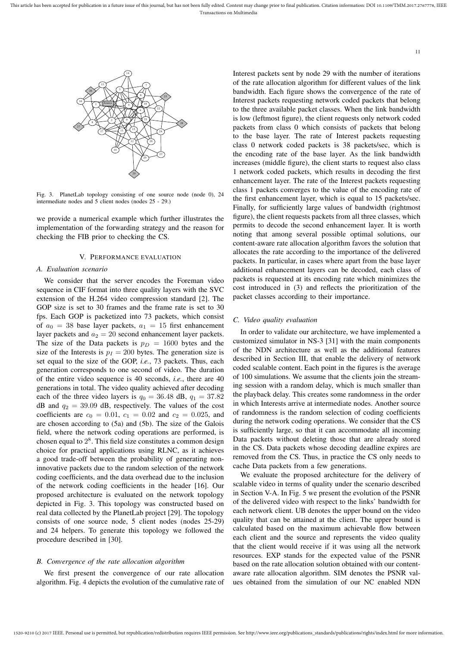

Fig. 3. PlanetLab topology consisting of one source node (node 0), 24 intermediate nodes and 5 client nodes (nodes 25 - 29.)

we provide a numerical example which further illustrates the implementation of the forwarding strategy and the reason for checking the FIB prior to checking the CS.

# V. PERFORMANCE EVALUATION

## *A. Evaluation scenario*

We consider that the server encodes the Foreman video sequence in CIF format into three quality layers with the SVC extension of the H.264 video compression standard [2]. The GOP size is set to 30 frames and the frame rate is set to 30 fps. Each GOP is packetized into 73 packets, which consist of  $a_0 = 38$  base layer packets,  $a_1 = 15$  first enhancement layer packets and  $a_2 = 20$  second enhancement layer packets. The size of the Data packets is  $p_D = 1600$  bytes and the size of the Interests is  $p_I = 200$  bytes. The generation size is set equal to the size of the GOP, *i.e.*, 73 packets. Thus, each generation corresponds to one second of video. The duration of the entire video sequence is 40 seconds, *i.e.*, there are 40 generations in total. The video quality achieved after decoding each of the three video layers is  $q_0 = 36.48$  dB,  $q_1 = 37.82$ dB and  $q_2 = 39.09$  dB, respectively. The values of the cost coefficients are  $c_0 = 0.01$ ,  $c_1 = 0.02$  and  $c_2 = 0.025$ , and are chosen according to (5a) and (5b). The size of the Galois field, where the network coding operations are performed, is chosen equal to  $2<sup>8</sup>$ . This field size constitutes a common design choice for practical applications using RLNC, as it achieves a good trade-off between the probability of generating noninnovative packets due to the random selection of the network coding coefficients, and the data overhead due to the inclusion of the network coding coefficients in the header [16]. Our proposed architecture is evaluated on the network topology depicted in Fig. 3. This topology was constructed based on real data collected by the PlanetLab project [29]. The topology consists of one source node, 5 client nodes (nodes 25-29) and 24 helpers. To generate this topology we followed the procedure described in [30].

#### *B. Convergence of the rate allocation algorithm*

We first present the convergence of our rate allocation algorithm. Fig. 4 depicts the evolution of the cumulative rate of

Interest packets sent by node 29 with the number of iterations of the rate allocation algorithm for different values of the link bandwidth. Each figure shows the convergence of the rate of Interest packets requesting network coded packets that belong to the three available packet classes. When the link bandwidth is low (leftmost figure), the client requests only network coded packets from class 0 which consists of packets that belong to the base layer. The rate of Interest packets requesting class 0 network coded packets is 38 packets/sec, which is the encoding rate of the base layer. As the link bandwidth increases (middle figure), the client starts to request also class 1 network coded packets, which results in decoding the first enhancement layer. The rate of the Interest packets requesting class 1 packets converges to the value of the encoding rate of the first enhancement layer, which is equal to 15 packets/sec. Finally, for sufficiently large values of bandwidth (rightmost figure), the client requests packets from all three classes, which permits to decode the second enhancement layer. It is worth noting that among several possible optimal solutions, our content-aware rate allocation algorithm favors the solution that allocates the rate according to the importance of the delivered packets. In particular, in cases where apart from the base layer additional enhancement layers can be decoded, each class of packets is requested at its encoding rate which minimizes the cost introduced in (3) and reflects the prioritization of the packet classes according to their importance.

#### *C. Video quality evaluation*

In order to validate our architecture, we have implemented a customized simulator in NS-3 [31] with the main components of the NDN architecture as well as the additional features described in Section III, that enable the delivery of network coded scalable content. Each point in the figures is the average of 100 simulations. We assume that the clients join the streaming session with a random delay, which is much smaller than the playback delay. This creates some randomness in the order in which Interests arrive at intermediate nodes. Another source of randomness is the random selection of coding coefficients during the network coding operations. We consider that the CS is sufficiently large, so that it can accommodate all incoming Data packets without deleting those that are already stored in the CS. Data packets whose decoding deadline expires are removed from the CS. Thus, in practice the CS only needs to cache Data packets from a few generations.

We evaluate the proposed architecture for the delivery of scalable video in terms of quality under the scenario described in Section V-A. In Fig. 5 we present the evolution of the PSNR of the delivered video with respect to the links' bandwidth for each network client. UB denotes the upper bound on the video quality that can be attained at the client. The upper bound is calculated based on the maximum achievable flow between each client and the source and represents the video quality that the client would receive if it was using all the network resources. EXP stands for the expected value of the PSNR based on the rate allocation solution obtained with our contentaware rate allocation algorithm. SIM denotes the PSNR values obtained from the simulation of our NC enabled NDN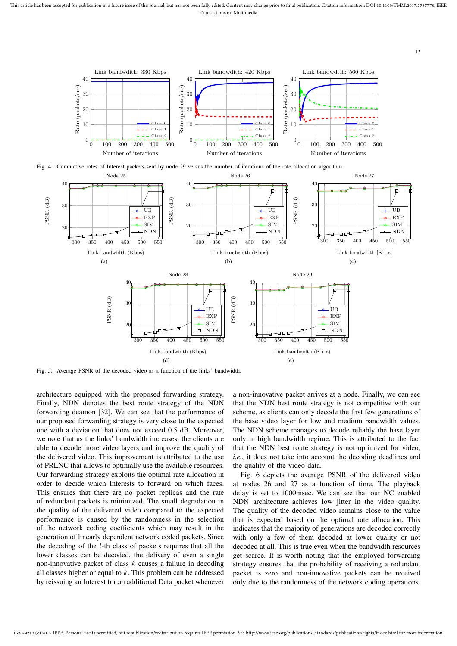



Node 25 Node 26 Node 27 40 40  $40$ PSNR (dB) PSNR (dB) PSNR (dB)  $PSNR$  ( $dB$ ) PSNR (dB) PSNR (dB) 30  $\overline{30}$ 30 UB UB UB EXP EXP EXP SIM SIM SIM 20  $20$ 20  $\rightarrow$ NDN <del>bo</del>⊖  $\overline{a}$ NDN  $\overline{a}$  NDN صصط 300 350 400 450 500 550 300 350 400 450 500 550 300 350 400 450 500 550 Link bandwidth (Kbps) Link bandwidth (Kbps) Link bandwidth [Kbps] (b) (a)  $(c)$ Node 28 Node 29  $40$  $40$ PSNR (dB) PSNR (dB) PSNR (dB) PSNR<sub>(dB)</sub>  $\overline{3}$  $\overline{30}$ UB **UB EXP** EXP SIM SIM  $\overline{2}$  $\overline{2}$ ‡⊕⊖  $\rightarrow$ NDN  $-$ nDN F عصط 300 350 400 450 500 550 300 350 400 450 500 550 Link bandwidth (Kbps) Link bandwidth (Kbps) (d) (e)

1520-9210 (c) 2017 IEEE. Personal use is permitted, but republication/redistribution requires IEEE permission. See http://www.ieee.org/publications\_standards/publications/rights/index.html for more information

Fig. 5. Average PSNR of the decoded video as a function of the links' bandwidth.

architecture equipped with the proposed forwarding strategy. Finally, NDN denotes the best route strategy of the NDN forwarding deamon [32]. We can see that the performance of our proposed forwarding strategy is very close to the expected one with a deviation that does not exceed 0.5 dB. Moreover, we note that as the links' bandwidth increases, the clients are able to decode more video layers and improve the quality of the delivered video. This improvement is attributed to the use of PRLNC that allows to optimally use the available resources. Our forwarding strategy exploits the optimal rate allocation in order to decide which Interests to forward on which faces. This ensures that there are no packet replicas and the rate of redundant packets is minimized. The small degradation in the quality of the delivered video compared to the expected performance is caused by the randomness in the selection of the network coding coefficients which may result in the generation of linearly dependent network coded packets. Since the decoding of the *l*-th class of packets requires that all the lower classes can be decoded, the delivery of even a single non-innovative packet of class *k* causes a failure in decoding all classes higher or equal to *k*. This problem can be addressed by reissuing an Interest for an additional Data packet whenever

a non-innovative packet arrives at a node. Finally, we can see that the NDN best route strategy is not competitive with our scheme, as clients can only decode the first few generations of the base video layer for low and medium bandwidth values. The NDN scheme manages to decode reliably the base layer only in high bandwidth regime. This is attributed to the fact that the NDN best route strategy is not optimized for video, *i.e.*, it does not take into account the decoding deadlines and the quality of the video data.

12

Fig. 6 depicts the average PSNR of the delivered video at nodes 26 and 27 as a function of time. The playback delay is set to 1000msec. We can see that our NC enabled NDN architecture achieves low jitter in the video quality. The quality of the decoded video remains close to the value that is expected based on the optimal rate allocation. This indicates that the majority of generations are decoded correctly with only a few of them decoded at lower quality or not decoded at all. This is true even when the bandwidth resources get scarce. It is worth noting that the employed forwarding strategy ensures that the probability of receiving a redundant packet is zero and non-innovative packets can be received only due to the randomness of the network coding operations.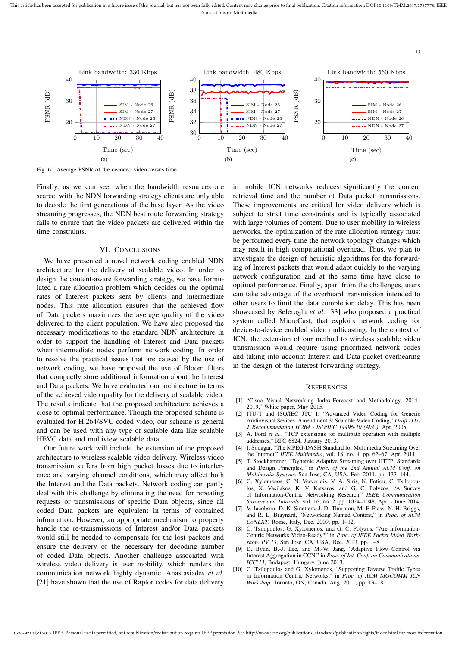

Fig. 6. Average PSNR of the decoded video versus time.

Finally, as we can see, when the bandwidth resources are scarce, with the NDN forwarding strategy clients are only able to decode the first generations of the base layer. As the video streaming progresses, the NDN best route forwarding strategy fails to ensure that the video packets are delivered within the time constraints.

## VI. CONCLUSIONS

We have presented a novel network coding enabled NDN architecture for the delivery of scalable video. In order to design the content-aware forwarding strategy, we have formulated a rate allocation problem which decides on the optimal rates of Interest packets sent by clients and intermediate nodes. This rate allocation ensures that the achieved flow of Data packets maximizes the average quality of the video delivered to the client population. We have also proposed the necessary modifications to the standard NDN architecture in order to support the handling of Interest and Data packets when intermediate nodes perform network coding. In order to resolve the practical issues that are caused by the use of network coding, we have proposed the use of Bloom filters that compactly store additional information about the Interest and Data packets. We have evaluated our architecture in terms of the achieved video quality for the delivery of scalable video. The results indicate that the proposed architecture achieves a close to optimal performance. Though the proposed scheme is evaluated for H.264/SVC coded video, our scheme is general and can be used with any type of scalable data like scalable HEVC data and multiview scalable data.

Our future work will include the extension of the proposed architecture to wireless scalable video delivery. Wireless video transmission suffers from high packet losses due to interference and varying channel conditions, which may affect both the Interest and the Data packets. Network coding can partly deal with this challenge by eliminating the need for repeating requests or transmissions of specific Data objects, since all coded Data packets are equivalent in terms of contained information. However, an appropriate mechanism to properly handle the re-transmissions of Interest and/or Data packets would still be needed to compensate for the lost packets and ensure the delivery of the necessary for decoding number of coded Data objects. Another challenge associated with wireless video delivery is user mobility, which renders the communication network highly dynamic. Anastasiades *et al.* [21] have shown that the use of Raptor codes for data delivery

in mobile ICN networks reduces significantly the content retrieval time and the number of Data packet transmissions. These improvements are critical for video delivery which is subject to strict time constraints and is typically associated with large volumes of content. Due to user mobility in wireless networks, the optimization of the rate allocation strategy must be performed every time the network topology changes which may result in high computational overhead. Thus, we plan to investigate the design of heuristic algorithms for the forwarding of Interest packets that would adapt quickly to the varying network configuration and at the same time have close to optimal performance. Finally, apart from the challenges, users can take advantage of the overheard transmission intended to other users to limit the data completion delay. This has been showcased by Seferoglu *et al.* [33] who proposed a practical system called MicroCast, that exploits network coding for device-to-device enabled video multicasting. In the context of ICN, the extension of our method to wireless scalable video transmission would require using prioritized network codes and taking into account Interest and Data packet overhearing in the design of the Interest forwarding strategy.

#### **REFERENCES**

- [1] "Cisco Visual Networking Index-Forecast and Methodology, 2014– 2019," White paper, May 2015.
- [2] ITU-T and ISO/IEC JTC 1, "Advanced Video Coding for Generic Audiovisual Sevices, Amendment 3: Scalable Video Coding," *Draft ITU-T Recommnedation H.264 - ISO/IEC 14496-10 (AVC)*, Apr. 2005.
- [3] A. Ford *et al.*, "TCP extensions for multipath operation with multiple addresses," RFC 6824, January 2013.
- [4] I. Sodagar, "The MPEG-DASH Standard for Multimedia Streaming Over the Internet," *IEEE Multimedia*, vol. 18, no. 4, pp. 62–67, Apr. 2011.
- [5] T. Stockhammer, "Dynamic Adaptive Streaming over HTTP: Standards and Design Principles," in *Proc. of the 2nd Annual ACM Conf. on Multimedia Systems*, San Jose, CA, USA, Feb. 2011, pp. 133–144.
- [6] G. Xylomenos, C. N. Ververidis, V. A. Siris, N. Fotiou, C. Tsilopoulos, X. Vasilakos, K. V. Katsaros, and G. C. Polyzos, "A Survey of Information-Centric Networking Research," *IEEE Communication Surveys and Tutorials*, vol. 16, no. 2, pp. 1024–1048, Apr. - June 2014.
- [7] V. Jacobson, D. K. Smetters, J. D. Thornton, M. F. Plass, N. H. Briggs, and R. L. Braynard, "Networking Named Content," in *Proc. of ACM CoNEXT*, Rome, Italy, Dec. 2009, pp. 1–12.
- [8] C. Tsilopoulos, G. Xylomenos, and G. C. Polyzos, "Are Information-Centric Networks Video-Ready?" in *Proc. of IEEE Packet Video Workshop, PV'13*, San Jose, CA, USA, Dec. 2013, pp. 1–8.
- [9] D. Byun, B.-J. Lee, and M.-W. Jang, "Adaptive Flow Control via Interest Aggregation in CCN," in *Proc. of Int. Conf. on Communications, ICC'13*, Budapest, Hungary, June 2013.
- [10] C. Tsilopoulos and G. Xylomenos, "Supporting Diverse Traffic Types in Information Centric Networks," in *Proc. of ACM SIGCOMM ICN Workshop*, Toronto, ON, Canada, Aug. 2011, pp. 13–18.